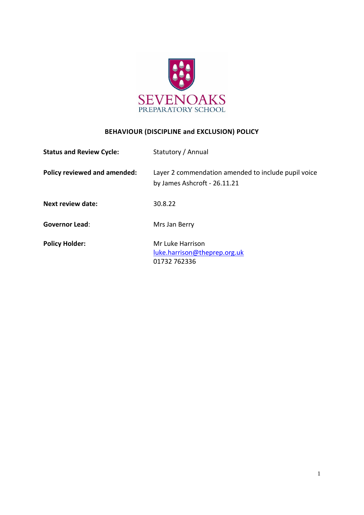

# **BEHAVIOUR (DISCIPLINE and EXCLUSION) POLICY**

| <b>Status and Review Cycle:</b> | Statutory / Annual                                                                  |
|---------------------------------|-------------------------------------------------------------------------------------|
| Policy reviewed and amended:    | Layer 2 commendation amended to include pupil voice<br>by James Ashcroft - 26.11.21 |
| <b>Next review date:</b>        | 30.8.22                                                                             |
| <b>Governor Lead:</b>           | Mrs Jan Berry                                                                       |
| <b>Policy Holder:</b>           | Mr Luke Harrison<br>luke.harrison@theprep.org.uk<br>01732 762336                    |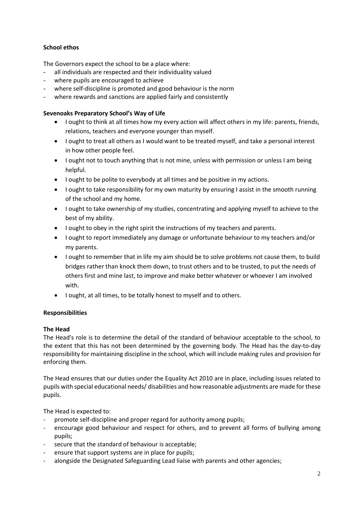# **School ethos**

The Governors expect the school to be a place where:

- all individuals are respected and their individuality valued
- where pupils are encouraged to achieve
- where self-discipline is promoted and good behaviour is the norm
- where rewards and sanctions are applied fairly and consistently

# **Sevenoaks Preparatory School's Way of Life**

- I ought to think at all times how my every action will affect others in my life: parents, friends, relations, teachers and everyone younger than myself.
- I ought to treat all others as I would want to be treated myself, and take a personal interest in how other people feel.
- I ought not to touch anything that is not mine, unless with permission or unless I am being helpful.
- I ought to be polite to everybody at all times and be positive in my actions.
- I ought to take responsibility for my own maturity by ensuring I assist in the smooth running of the school and my home.
- I ought to take ownership of my studies, concentrating and applying myself to achieve to the best of my ability.
- I ought to obey in the right spirit the instructions of my teachers and parents.
- I ought to report immediately any damage or unfortunate behaviour to my teachers and/or my parents.
- I ought to remember that in life my aim should be to solve problems not cause them, to build bridges rather than knock them down, to trust others and to be trusted, to put the needs of others first and mine last, to improve and make better whatever or whoever I am involved with.
- I ought, at all times, to be totally honest to myself and to others.

# **Responsibilities**

# **The Head**

The Head's role is to determine the detail of the standard of behaviour acceptable to the school, to the extent that this has not been determined by the governing body. The Head has the day-to-day responsibility for maintaining discipline in the school, which will include making rules and provision for enforcing them.

The Head ensures that our duties under the Equality Act 2010 are in place, including issues related to pupils with special educational needs/ disabilities and how reasonable adjustments are made for these pupils.

The Head is expected to:

- promote self-discipline and proper regard for authority among pupils;
- encourage good behaviour and respect for others, and to prevent all forms of bullying among pupils;
- secure that the standard of behaviour is acceptable;
- ensure that support systems are in place for pupils;
- alongside the Designated Safeguarding Lead liaise with parents and other agencies;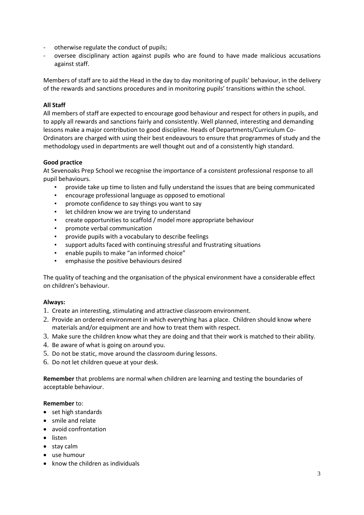- otherwise regulate the conduct of pupils;
- oversee disciplinary action against pupils who are found to have made malicious accusations against staff.

Members of staff are to aid the Head in the day to day monitoring of pupils' behaviour, in the delivery of the rewards and sanctions procedures and in monitoring pupils' transitions within the school.

# **All Staff**

All members of staff are expected to encourage good behaviour and respect for others in pupils, and to apply all rewards and sanctions fairly and consistently. Well planned, interesting and demanding lessons make a major contribution to good discipline. Heads of Departments/Curriculum Co-Ordinators are charged with using their best endeavours to ensure that programmes of study and the methodology used in departments are well thought out and of a consistently high standard.

## **Good practice**

At Sevenoaks Prep School we recognise the importance of a consistent professional response to all pupil behaviours.

- provide take up time to listen and fully understand the issues that are being communicated
- encourage professional language as opposed to emotional
- promote confidence to say things you want to say
- let children know we are trying to understand
- create opportunities to scaffold / model more appropriate behaviour
- promote verbal communication
- provide pupils with a vocabulary to describe feelings
- support adults faced with continuing stressful and frustrating situations
- enable pupils to make "an informed choice"
- emphasise the positive behaviours desired

The quality of teaching and the organisation of the physical environment have a considerable effect on children's behaviour.

## **Always:**

- 1. Create an interesting, stimulating and attractive classroom environment.
- 2. Provide an ordered environment in which everything has a place. Children should know where materials and/or equipment are and how to treat them with respect.
- 3. Make sure the children know what they are doing and that their work is matched to their ability.
- 4. Be aware of what is going on around you.
- 5. Do not be static, move around the classroom during lessons.
- 6. Do not let children queue at your desk.

**Remember** that problems are normal when children are learning and testing the boundaries of acceptable behaviour.

## **Remember** to:

- set high standards
- smile and relate
- avoid confrontation
- listen
- stay calm
- use humour
- know the children as individuals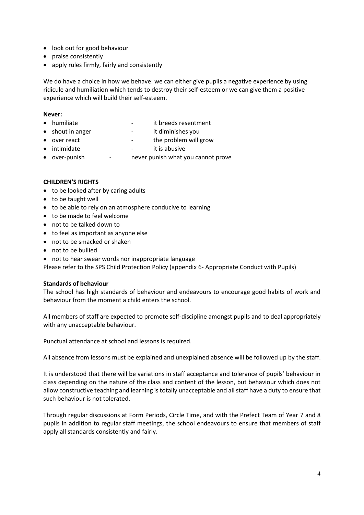- look out for good behaviour
- praise consistently
- apply rules firmly, fairly and consistently

We do have a choice in how we behave: we can either give pupils a negative experience by using ridicule and humiliation which tends to destroy their self-esteem or we can give them a positive experience which will build their self-esteem.

## **Never:**

- humiliate extended by the it breeds resentment
- shout in anger  $\qquad \qquad$  it diminishes you
- over react  $\qquad \qquad -$  the problem will grow
- intimidate **a i** t is abusive
- over-punish never punish what you cannot prove

## **CHILDREN'S RIGHTS**

- to be looked after by caring adults
- to be taught well
- to be able to rely on an atmosphere conducive to learning
- to be made to feel welcome
- not to be talked down to
- to feel as important as anyone else
- not to be smacked or shaken
- not to be bullied
- not to hear swear words nor inappropriate language

Please refer to the SPS Child Protection Policy (appendix 6- Appropriate Conduct with Pupils)

## **Standards of behaviour**

The school has high standards of behaviour and endeavours to encourage good habits of work and behaviour from the moment a child enters the school.

All members of staff are expected to promote self-discipline amongst pupils and to deal appropriately with any unacceptable behaviour.

Punctual attendance at school and lessons is required.

All absence from lessons must be explained and unexplained absence will be followed up by the staff.

It is understood that there will be variations in staff acceptance and tolerance of pupils' behaviour in class depending on the nature of the class and content of the lesson, but behaviour which does not allow constructive teaching and learning is totally unacceptable and all staff have a duty to ensure that such behaviour is not tolerated.

Through regular discussions at Form Periods, Circle Time, and with the Prefect Team of Year 7 and 8 pupils in addition to regular staff meetings, the school endeavours to ensure that members of staff apply all standards consistently and fairly.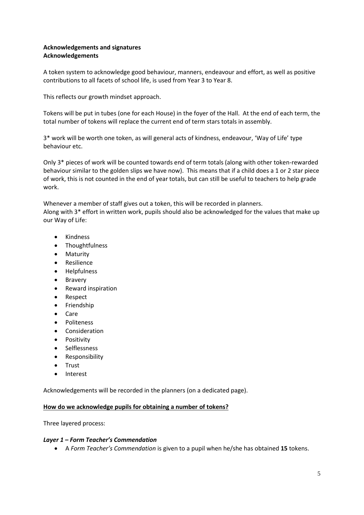## **Acknowledgements and signatures Acknowledgements**

A token system to acknowledge good behaviour, manners, endeavour and effort, as well as positive contributions to all facets of school life, is used from Year 3 to Year 8.

This reflects our growth mindset approach.

Tokens will be put in tubes (one for each House) in the foyer of the Hall. At the end of each term, the total number of tokens will replace the current end of term stars totals in assembly.

3\* work will be worth one token, as will general acts of kindness, endeavour, 'Way of Life' type behaviour etc.

Only 3\* pieces of work will be counted towards end of term totals (along with other token-rewarded behaviour similar to the golden slips we have now). This means that if a child does a 1 or 2 star piece of work, this is not counted in the end of year totals, but can still be useful to teachers to help grade work.

Whenever a member of staff gives out a token, this will be recorded in planners. Along with 3\* effort in written work, pupils should also be acknowledged for the values that make up our Way of Life:

- Kindness
- Thoughtfulness
- Maturity
- Resilience
- Helpfulness
- Bravery
- Reward inspiration
- Respect
- Friendship
- Care
- Politeness
- Consideration
- Positivity
- Selflessness
- Responsibility
- Trust
- Interest

Acknowledgements will be recorded in the planners (on a dedicated page).

## **How do we acknowledge pupils for obtaining a number of tokens?**

Three layered process:

## *Layer 1 – Form Teacher's Commendation*

• A *Form Teacher's Commendation* is given to a pupil when he/she has obtained **15** tokens.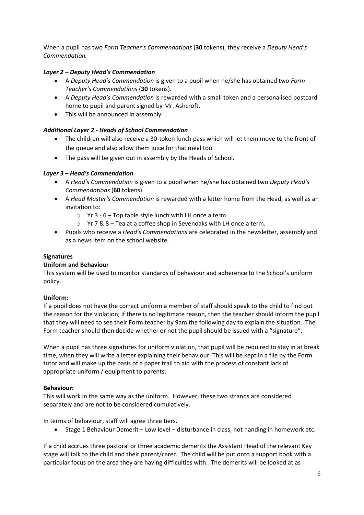When a pupil has two *Form Teacher's Commendations* (**30** tokens), they receive a *Deputy Head's Commendation.*

# *Layer 2 – Deputy Head's Commendation*

- A *Deputy Head's Commendation* is given to a pupil when he/she has obtained two *Form Teacher's Commendations* (**30** tokens).
- A *Deputy Head's Commendation* is rewarded with a small token and a personalised postcard home to pupil and parent signed by Mr. Ashcroft.
- This will be announced in assembly*.*

# *Additional Layer 2 - Heads of School Commendation*

- The children will also receive a 30-token lunch pass which will let them move to the front of the queue and also allow them juice for that meal too.
- The pass will be given out in assembly by the Heads of School.

# *Layer 3 – Head's Commendation*

- A *Head's Commendation* is given to a pupil when he/she has obtained two *Deputy Head's Commendations* (**60** tokens).
- A *Head Master's Commendation* is rewarded with a letter home from the Head, as well as an invitation to:
	- $\circ$  Yr 3 6 Top table style lunch with LH once a term.
	- o Yr 7 & 8 Tea at a coffee shop in Sevenoaks with LH once a term.
- Pupils who receive a *Head's Commendations* are celebrated in the newsletter, assembly and as a news item on the school website.

# **Signatures**

# **Uniform and Behaviour**

This system will be used to monitor standards of behaviour and adherence to the School's uniform policy.

# **Uniform:**

If a pupil does not have the correct uniform a member of staff should speak to the child to find out the reason for the violation; if there is no legitimate reason, then the teacher should inform the pupil that they will need to see their Form teacher by 9am the following day to explain the situation. The Form teacher should then decide whether or not the pupil should be issued with a "signature".

When a pupil has three signatures for uniform violation, that pupil will be required to stay in at break time, when they will write a letter explaining their behaviour. This will be kept in a file by the Form tutor and will make up the basis of a paper trail to aid with the process of constant lack of appropriate uniform / equipment to parents.

# **Behaviour:**

This will work in the same way as the uniform. However, these two strands are considered separately and are not to be considered cumulatively.

In terms of behaviour, staff will agree three tiers.

• Stage 1 Behaviour Demerit – Low level – disturbance in class, not handing in homework etc.

If a child accrues three pastoral or three academic demerits the Assistant Head of the relevant Key stage will talk to the child and their parent/carer. The child will be put onto a support book with a particular focus on the area they are having difficulties with. The demerits will be looked at as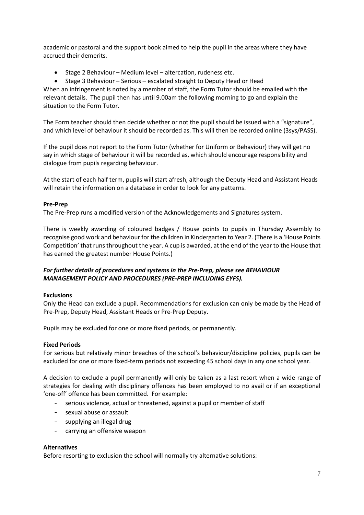academic or pastoral and the support book aimed to help the pupil in the areas where they have accrued their demerits.

• Stage 2 Behaviour – Medium level – altercation, rudeness etc.

• Stage 3 Behaviour – Serious – escalated straight to Deputy Head or Head When an infringement is noted by a member of staff, the Form Tutor should be emailed with the relevant details. The pupil then has until 9.00am the following morning to go and explain the situation to the Form Tutor.

The Form teacher should then decide whether or not the pupil should be issued with a "signature", and which level of behaviour it should be recorded as. This will then be recorded online (3sys/PASS).

If the pupil does not report to the Form Tutor (whether for Uniform or Behaviour) they will get no say in which stage of behaviour it will be recorded as, which should encourage responsibility and dialogue from pupils regarding behaviour.

At the start of each half term, pupils will start afresh, although the Deputy Head and Assistant Heads will retain the information on a database in order to look for any patterns.

## **Pre-Prep**

The Pre-Prep runs a modified version of the Acknowledgements and Signatures system.

There is weekly awarding of coloured badges / House points to pupils in Thursday Assembly to recognise good work and behaviour for the children in Kindergarten to Year 2. (There is a 'House Points Competition' that runs throughout the year. A cup is awarded, at the end of the year to the House that has earned the greatest number House Points.)

## *For further details of procedures and systems in the Pre-Prep, please see BEHAVIOUR MANAGEMENT POLICY AND PROCEDURES (PRE-PREP INCLUDING EYFS).*

## **Exclusions**

Only the Head can exclude a pupil. Recommendations for exclusion can only be made by the Head of Pre-Prep, Deputy Head, Assistant Heads or Pre-Prep Deputy.

Pupils may be excluded for one or more fixed periods, or permanently.

## **Fixed Periods**

For serious but relatively minor breaches of the school's behaviour/discipline policies, pupils can be excluded for one or more fixed-term periods not exceeding 45 school days in any one school year.

A decision to exclude a pupil permanently will only be taken as a last resort when a wide range of strategies for dealing with disciplinary offences has been employed to no avail or if an exceptional 'one-off' offence has been committed. For example:

- serious violence, actual or threatened, against a pupil or member of staff
- sexual abuse or assault
- supplying an illegal drug
- carrying an offensive weapon

## **Alternatives**

Before resorting to exclusion the school will normally try alternative solutions: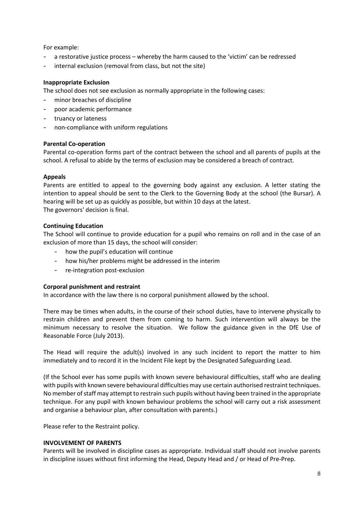For example:

- a restorative justice process whereby the harm caused to the 'victim' can be redressed
- internal exclusion (removal from class, but not the site)

## **Inappropriate Exclusion**

The school does not see exclusion as normally appropriate in the following cases:

- minor breaches of discipline
- poor academic performance
- truancy or lateness
- non-compliance with uniform regulations

## **Parental Co-operation**

Parental co-operation forms part of the contract between the school and all parents of pupils at the school. A refusal to abide by the terms of exclusion may be considered a breach of contract.

## **Appeals**

Parents are entitled to appeal to the governing body against any exclusion. A letter stating the intention to appeal should be sent to the Clerk to the Governing Body at the school (the Bursar). A hearing will be set up as quickly as possible, but within 10 days at the latest. The governors' decision is final.

## **Continuing Education**

The School will continue to provide education for a pupil who remains on roll and in the case of an exclusion of more than 15 days, the school will consider:

- how the pupil's education will continue
- how his/her problems might be addressed in the interim
- re-integration post-exclusion

## **Corporal punishment and restraint**

In accordance with the law there is no corporal punishment allowed by the school.

There may be times when adults, in the course of their school duties, have to intervene physically to restrain children and prevent them from coming to harm. Such intervention will always be the minimum necessary to resolve the situation. We follow the guidance given in the DfE Use of Reasonable Force (July 2013).

The Head will require the adult(s) involved in any such incident to report the matter to him immediately and to record it in the Incident File kept by the Designated Safeguarding Lead.

(If the School ever has some pupils with known severe behavioural difficulties, staff who are dealing with pupils with known severe behavioural difficulties may use certain authorised restraint techniques. No member of staff may attempt to restrain such pupils without having been trained in the appropriate technique. For any pupil with known behaviour problems the school will carry out a risk assessment and organise a behaviour plan, after consultation with parents.)

Please refer to the Restraint policy.

## **INVOLVEMENT OF PARENTS**

Parents will be involved in discipline cases as appropriate. Individual staff should not involve parents in discipline issues without first informing the Head, Deputy Head and / or Head of Pre-Prep.